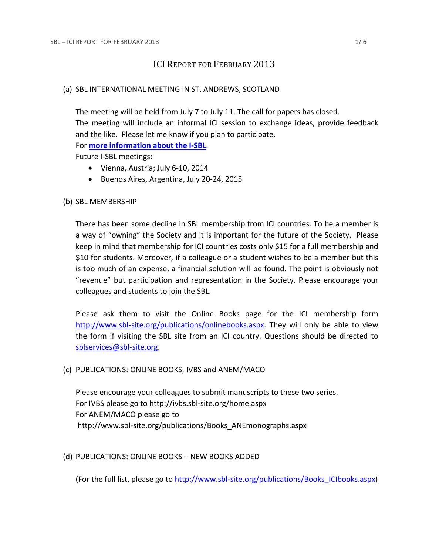# ICI REPORT FOR FEBRUARY 2013

# (a) SBL INTERNATIONAL MEETING IN ST. ANDREWS, SCOTLAND

The meeting will be held from July 7 to July 11. The call for papers has closed. The meeting will include an informal ICI session to exchange ideas, provide feedback and the like. Please let me know if you plan to participate. For **[more information about the I-SBL](http://www.sbl-site.org/meetings/Internationalmeeting.aspx)**. Future I-SBL meetings:

- Vienna, Austria; July 6-10, 2014
- Buenos Aires, Argentina, July 20-24, 2015

# (b) SBL MEMBERSHIP

There has been some decline in SBL membership from ICI countries. To be a member is a way of "owning" the Society and it is important for the future of the Society. Please keep in mind that membership for ICI countries costs only \$15 for a full membership and \$10 for students. Moreover, if a colleague or a student wishes to be a member but this is too much of an expense, a financial solution will be found. The point is obviously not "revenue" but participation and representation in the Society. Please encourage your colleagues and students to join the SBL.

Please ask them to visit the Online Books page for the ICI membership form [http://www.sbl-site.org/publications/onlinebooks.aspx.](http://www.sbl-site.org/publications/onlinebooks.aspx) They will only be able to view the form if visiting the SBL site from an ICI country. Questions should be directed to [sblservices@sbl-site.org.](mailto:sblservices@sbl-site.org)

### (c) PUBLICATIONS: ONLINE BOOKS, IVBS and ANEM/MACO

Please encourage your colleagues to submit manuscripts to these two series. For IVBS please go to http://ivbs.sbl-site.org/home.aspx For ANEM/MACO please go to http://www.sbl-site.org/publications/Books\_ANEmonographs.aspx

# (d) PUBLICATIONS: ONLINE BOOKS – NEW BOOKS ADDED

(For the full list, please go to [http://www.sbl-site.org/publications/Books\\_ICIbooks.aspx\)](http://www.sbl-site.org/publications/Books_ICIbooks.aspx)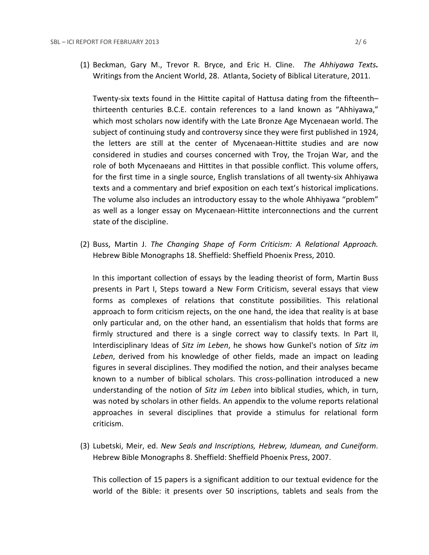(1) Beckman, Gary M., Trevor R. Bryce, and Eric H. Cline.*The Ahhiyawa Texts.* Writings from the Ancient World, 28. Atlanta, Society of Biblical Literature, 2011.

Twenty-six texts found in the Hittite capital of Hattusa dating from the fifteenth– thirteenth centuries B.C.E. contain references to a land known as "Ahhiyawa," which most scholars now identify with the Late Bronze Age Mycenaean world. The subject of continuing study and controversy since they were first published in 1924, the letters are still at the center of Mycenaean-Hittite studies and are now considered in studies and courses concerned with Troy, the Trojan War, and the role of both Mycenaeans and Hittites in that possible conflict. This volume offers, for the first time in a single source, English translations of all twenty-six Ahhiyawa texts and a commentary and brief exposition on each text's historical implications. The volume also includes an introductory essay to the whole Ahhiyawa "problem" as well as a longer essay on Mycenaean-Hittite interconnections and the current state of the discipline.

(2) Buss, Martin J. *The Changing Shape of Form Criticism: A Relational Approach.*  Hebrew Bible Monographs 18. Sheffield: Sheffield Phoenix Press, 2010.

In this important collection of essays by the leading theorist of form, Martin Buss presents in Part I, Steps toward a New Form Criticism, several essays that view forms as complexes of relations that constitute possibilities. This relational approach to form criticism rejects, on the one hand, the idea that reality is at base only particular and, on the other hand, an essentialism that holds that forms are firmly structured and there is a single correct way to classify texts. In Part II, Interdisciplinary Ideas of *Sitz im Leben*, he shows how Gunkel's notion of *Sitz im Leben*, derived from his knowledge of other fields, made an impact on leading figures in several disciplines. They modified the notion, and their analyses became known to a number of biblical scholars. This cross-pollination introduced a new understanding of the notion of *Sitz im Leben* into biblical studies, which, in turn, was noted by scholars in other fields. An appendix to the volume reports relational approaches in several disciplines that provide a stimulus for relational form criticism.

(3) Lubetski, Meir, ed. *New Seals and Inscriptions, Hebrew, Idumean, and Cuneiform*. Hebrew Bible Monographs 8. Sheffield: Sheffield Phoenix Press, 2007.

This collection of 15 papers is a significant addition to our textual evidence for the world of the Bible: it presents over 50 inscriptions, tablets and seals from the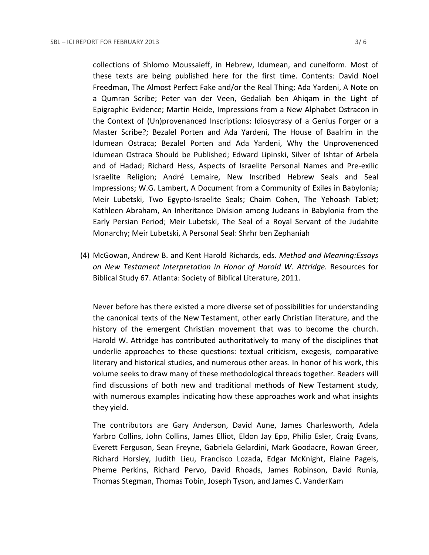collections of Shlomo Moussaieff, in Hebrew, Idumean, and cuneiform. Most of these texts are being published here for the first time. Contents: David Noel Freedman, The Almost Perfect Fake and/or the Real Thing; Ada Yardeni, A Note on a Qumran Scribe; Peter van der Veen, Gedaliah ben Ahiqam in the Light of Epigraphic Evidence; Martin Heide, Impressions from a New Alphabet Ostracon in the Context of (Un)provenanced Inscriptions: Idiosycrasy of a Genius Forger or a Master Scribe?; Bezalel Porten and Ada Yardeni, The House of Baalrim in the Idumean Ostraca; Bezalel Porten and Ada Yardeni, Why the Unprovenenced Idumean Ostraca Should be Published; Edward Lipinski, Silver of Ishtar of Arbela and of Hadad; Richard Hess, Aspects of Israelite Personal Names and Pre-exilic Israelite Religion; André Lemaire, New Inscribed Hebrew Seals and Seal Impressions; W.G. Lambert, A Document from a Community of Exiles in Babylonia; Meir Lubetski, Two Egypto-Israelite Seals; Chaim Cohen, The Yehoash Tablet; Kathleen Abraham, An Inheritance Division among Judeans in Babylonia from the Early Persian Period; Meir Lubetski, The Seal of a Royal Servant of the Judahite Monarchy; Meir Lubetski, A Personal Seal: Shrhr ben Zephaniah

(4) McGowan, Andrew B. and Kent Harold Richards, eds. *Method and Meaning:Essays on New Testament Interpretation in Honor of Harold W. Attridge.* Resources for Biblical Study 67. Atlanta: Society of Biblical Literature, 2011.

Never before has there existed a more diverse set of possibilities for understanding the canonical texts of the New Testament, other early Christian literature, and the history of the emergent Christian movement that was to become the church. Harold W. Attridge has contributed authoritatively to many of the disciplines that underlie approaches to these questions: textual criticism, exegesis, comparative literary and historical studies, and numerous other areas. In honor of his work, this volume seeks to draw many of these methodological threads together. Readers will find discussions of both new and traditional methods of New Testament study, with numerous examples indicating how these approaches work and what insights they yield.

The contributors are Gary Anderson, David Aune, James Charlesworth, Adela Yarbro Collins, John Collins, James Elliot, Eldon Jay Epp, Philip Esler, Craig Evans, Everett Ferguson, Sean Freyne, Gabriela Gelardini, Mark Goodacre, Rowan Greer, Richard Horsley, Judith Lieu, Francisco Lozada, Edgar McKnight, Elaine Pagels, Pheme Perkins, Richard Pervo, David Rhoads, James Robinson, David Runia, Thomas Stegman, Thomas Tobin, Joseph Tyson, and James C. VanderKam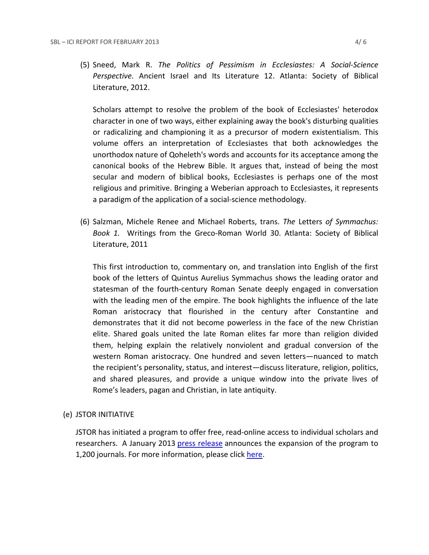(5) Sneed, Mark R. *The Politics of Pessimism in Ecclesiastes: A Social-Science Perspective.* Ancient Israel and Its Literature 12. Atlanta: Society of Biblical Literature, 2012.

Scholars attempt to resolve the problem of the book of Ecclesiastes' heterodox character in one of two ways, either explaining away the book's disturbing qualities or radicalizing and championing it as a precursor of modern existentialism. This volume offers an interpretation of Ecclesiastes that both acknowledges the unorthodox nature of Qoheleth's words and accounts for its acceptance among the canonical books of the Hebrew Bible. It argues that, instead of being the most secular and modern of biblical books, Ecclesiastes is perhaps one of the most religious and primitive. Bringing a Weberian approach to Ecclesiastes, it represents a paradigm of the application of a social-science methodology.

(6) Salzman, Michele Renee and Michael Roberts, trans. *The* Letters *of Symmachus: Book 1.* Writings from the Greco-Roman World 30. Atlanta: Society of Biblical Literature, 2011

This first introduction to, commentary on, and translation into English of the first book of the letters of Quintus Aurelius Symmachus shows the leading orator and statesman of the fourth-century Roman Senate deeply engaged in conversation with the leading men of the empire. The book highlights the influence of the late Roman aristocracy that flourished in the century after Constantine and demonstrates that it did not become powerless in the face of the new Christian elite. Shared goals united the late Roman elites far more than religion divided them, helping explain the relatively nonviolent and gradual conversion of the western Roman aristocracy. One hundred and seven letters—nuanced to match the recipient's personality, status, and interest—discuss literature, religion, politics, and shared pleasures, and provide a unique window into the private lives of Rome's leaders, pagan and Christian, in late antiquity.

#### (e) JSTOR INITIATIVE

JSTOR has initiated a program to offer free, read-online access to individual scholars and researchers. A January 2013 [press release](http://about.jstor.org/news/free-read) announces the expansion of the program to 1,200 journals. For more information, please click [here.](http://ancientworldonline.blogspot.ca/2012/03/jstor-register-read.html)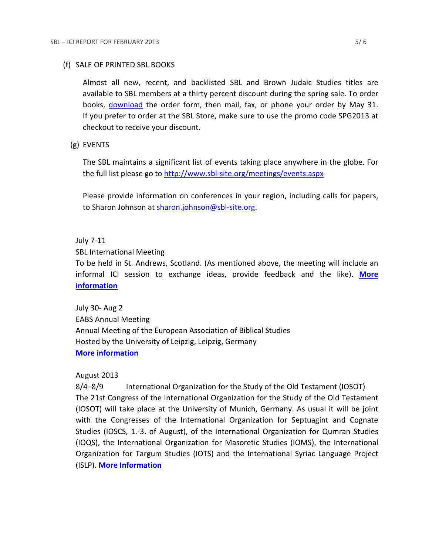#### (f) SALE OF PRINTED SBL BOOKS

Almost all new, recent, and backlisted SBL and Brown Judaic Studies titles are available to SBL members at a thirty percent discount during the spring sale. To order books, [download](http://www.sbl-site.org/assets/pdfs/OrderFormRM2013FourPage.pdf) the order form, then mail, fax, or phone your order by May 31. If you prefer to order at the SBL Store, make sure to use the promo code SPG2013 at checkout to receive your discount.

### (g) EVENTS

The SBL maintains a significant list of events taking place anywhere in the globe. For the full list please go to<http://www.sbl-site.org/meetings/events.aspx>

Please provide information on conferences in your region, including calls for papers, to Sharon Johnson at [sharon.johnson@sbl-site.org.](mailto:sharon.johnson@sbl-site.org)

#### July 7-11

SBL International Meeting

To be held in St. Andrews, Scotland. (As mentioned above, the meeting will include an informal ICI session to exchange ideas, provide feedback and the like). **[More](http://www.sbl-site.org/meetings/Internationalmeeting.aspx)  [information](http://www.sbl-site.org/meetings/Internationalmeeting.aspx)**

July 30- Aug 2 EABS Annual Meeting Annual Meeting of the European Association of Biblical Studies Hosted by the University of Leipzig, Leipzig, Germany **[More information](http://www.eabs.net/)**

### August 2013

8/4–8/9 International Organization for the Study of the Old Testament (IOSOT) The 21st Congress of the International Organization for the Study of the Old Testament (IOSOT) will take place at the University of Munich, Germany. As usual it will be joint with the Congresses of the International Organization for Septuagint and Cognate Studies (IOSCS, 1.-3. of August), of the International Organization for Qumran Studies (IOQS), the International Organization for Masoretic Studies (IOMS), the International Organization for Targum Studies (IOTS) and the International Syriac Language Project (ISLP). **[More Information](http://www.en.iosot2013.evtheol.uni-muenchen.de/index.html)**